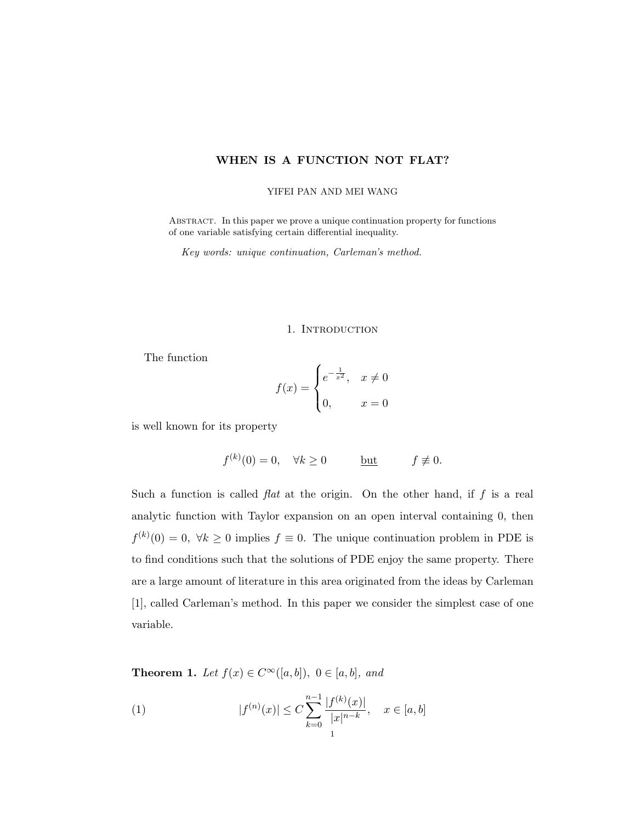# WHEN IS A FUNCTION NOT FLAT?

#### YIFEI PAN AND MEI WANG

Abstract. In this paper we prove a unique continuation property for functions of one variable satisfying certain differential inequality.

Key words: unique continuation, Carleman's method.

## 1. INTRODUCTION

The function

$$
f(x) = \begin{cases} e^{-\frac{1}{x^2}}, & x \neq 0 \\ 0, & x = 0 \end{cases}
$$

is well known for its property

$$
f^{(k)}(0) = 0, \quad \forall k \ge 0 \qquad \qquad \underline{\text{but}} \qquad f \not\equiv 0.
$$

Such a function is called  $flat$  at the origin. On the other hand, if  $f$  is a real analytic function with Taylor expansion on an open interval containing 0, then  $f^{(k)}(0) = 0, \forall k \ge 0$  implies  $f \equiv 0$ . The unique continuation problem in PDE is to find conditions such that the solutions of PDE enjoy the same property. There are a large amount of literature in this area originated from the ideas by Carleman [1], called Carleman's method. In this paper we consider the simplest case of one variable.

**Theorem 1.** Let  $f(x) \in C^{\infty}([a, b])$ ,  $0 \in [a, b]$ , and

(1) 
$$
|f^{(n)}(x)| \leq C \sum_{k=0}^{n-1} \frac{|f^{(k)}(x)|}{|x|^{n-k}}, \quad x \in [a, b]
$$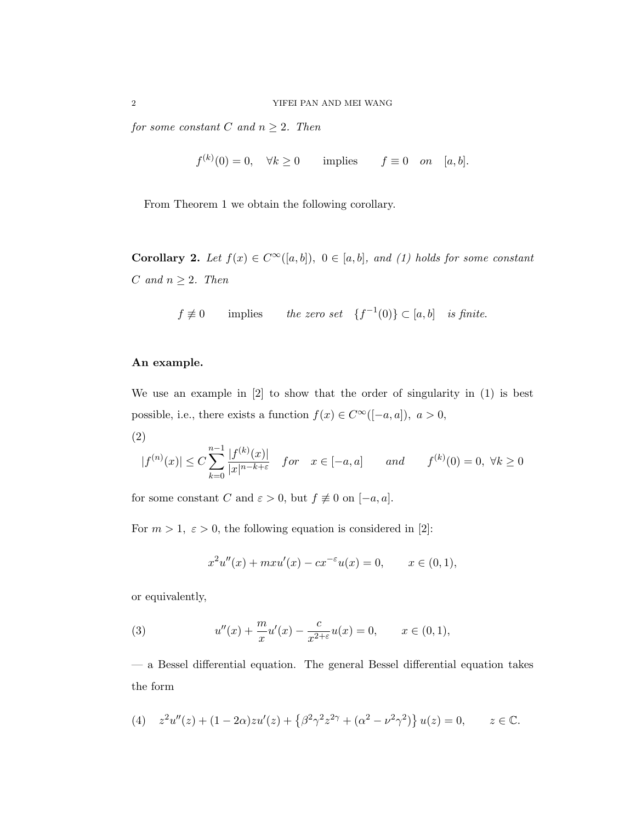for some constant C and  $n \geq 2$ . Then

$$
f^{(k)}(0) = 0, \quad \forall k \ge 0 \qquad \text{implies} \qquad f \equiv 0 \quad on \quad [a, b].
$$

From Theorem 1 we obtain the following corollary.

Corollary 2. Let  $f(x) \in C^{\infty}([a, b]), 0 \in [a, b],$  and (1) holds for some constant  $C \text{ and } n \geq 2.$  Then

 $f \neq 0$  implies the zero set  $\{f^{-1}(0)\} \subset [a, b]$  is finite.

### An example.

We use an example in [2] to show that the order of singularity in (1) is best possible, i.e., there exists a function  $f(x) \in C^{\infty}([-a, a]), a > 0$ ,

(2)

$$
|f^{(n)}(x)| \le C \sum_{k=0}^{n-1} \frac{|f^{(k)}(x)|}{|x|^{n-k+\varepsilon}}
$$
 for  $x \in [-a, a]$  and  $f^{(k)}(0) = 0, \forall k \ge 0$ 

for some constant  $C$  and  $\varepsilon > 0$ , but  $f \not\equiv 0$  on  $[-a, a].$ 

For  $m > 1$ ,  $\varepsilon > 0$ , the following equation is considered in [2]:

$$
x^{2}u''(x) + mxu'(x) - cx^{-\epsilon}u(x) = 0, \qquad x \in (0, 1),
$$

or equivalently,

(3) 
$$
u''(x) + \frac{m}{x}u'(x) - \frac{c}{x^{2+\varepsilon}}u(x) = 0, \qquad x \in (0,1),
$$

— a Bessel differential equation. The general Bessel differential equation takes the form

(4) 
$$
z^2u''(z) + (1 - 2\alpha)zu'(z) + \{\beta^2\gamma^2z^{2\gamma} + (\alpha^2 - \nu^2\gamma^2)\}u(z) = 0, \qquad z \in \mathbb{C}.
$$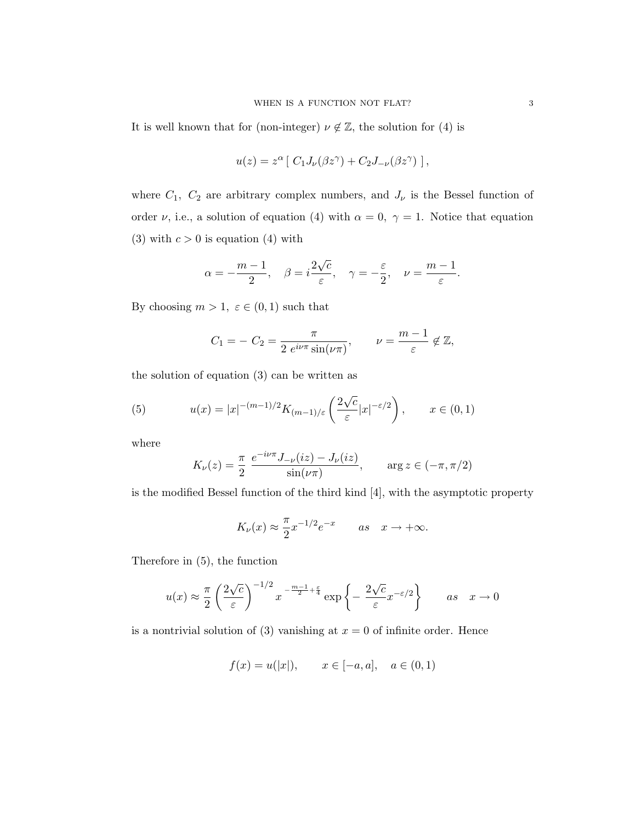It is well known that for (non-integer)  $\nu \notin \mathbb{Z}$ , the solution for (4) is

$$
u(z) = z^{\alpha} [ C_1 J_{\nu}(\beta z^{\gamma}) + C_2 J_{-\nu}(\beta z^{\gamma}) ],
$$

where  $C_1$ ,  $C_2$  are arbitrary complex numbers, and  $J_{\nu}$  is the Bessel function of order  $\nu$ , i.e., a solution of equation (4) with  $\alpha = 0, \gamma = 1$ . Notice that equation (3) with  $c > 0$  is equation (4) with

$$
\alpha = -\frac{m-1}{2}, \quad \beta = i\frac{2\sqrt{c}}{\varepsilon}, \quad \gamma = -\frac{\varepsilon}{2}, \quad \nu = \frac{m-1}{\varepsilon}.
$$

By choosing  $m > 1$ ,  $\varepsilon \in (0, 1)$  such that

$$
C_1 = -C_2 = \frac{\pi}{2 e^{i\nu\pi} \sin(\nu\pi)}, \qquad \nu = \frac{m-1}{\varepsilon} \notin \mathbb{Z},
$$

the solution of equation (3) can be written as

(5) 
$$
u(x) = |x|^{-(m-1)/2} K_{(m-1)/\varepsilon} \left( \frac{2\sqrt{c}}{\varepsilon} |x|^{-\varepsilon/2} \right), \qquad x \in (0,1)
$$

where

$$
K_{\nu}(z) = \frac{\pi}{2} \frac{e^{-i\nu\pi}J_{-\nu}(iz) - J_{\nu}(iz)}{\sin(\nu\pi)}, \quad \arg z \in (-\pi, \pi/2)
$$

is the modified Bessel function of the third kind [4], with the asymptotic property

$$
K_{\nu}(x) \approx \frac{\pi}{2} x^{-1/2} e^{-x}
$$
 as  $x \to +\infty$ .

Therefore in (5), the function

$$
u(x) \approx \frac{\pi}{2} \left(\frac{2\sqrt{c}}{\varepsilon}\right)^{-1/2} x^{-\frac{m-1}{2} + \frac{\varepsilon}{4}} \exp\left\{-\frac{2\sqrt{c}}{\varepsilon} x^{-\varepsilon/2}\right\} \qquad as \quad x \to 0
$$

is a nontrivial solution of (3) vanishing at  $x = 0$  of infinite order. Hence

$$
f(x) = u(|x|), \quad x \in [-a, a], \quad a \in (0, 1)
$$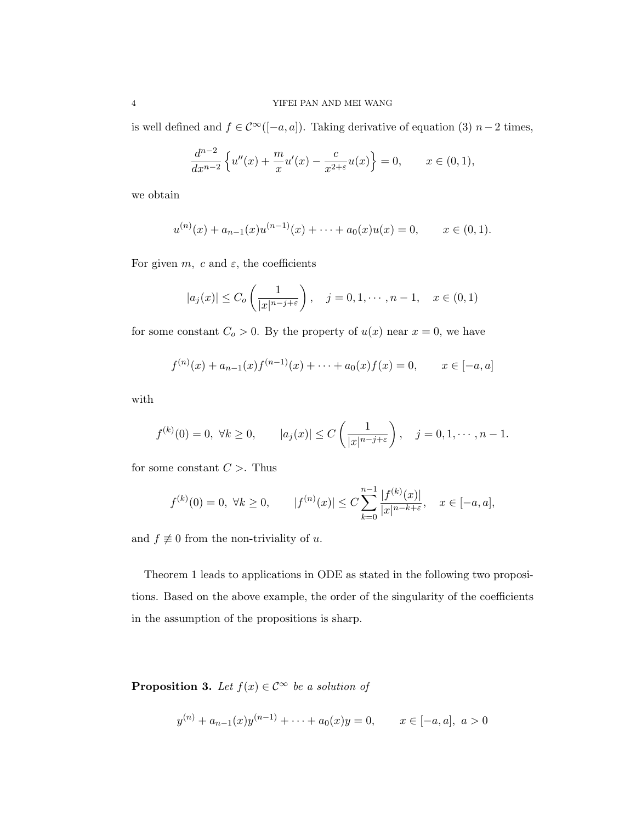is well defined and  $f \in \mathcal{C}^{\infty}([-a,a])$ . Taking derivative of equation (3)  $n-2$  times,

$$
\frac{d^{n-2}}{dx^{n-2}}\left\{u''(x) + \frac{m}{x}u'(x) - \frac{c}{x^{2+\varepsilon}}u(x)\right\} = 0, \qquad x \in (0,1),
$$

we obtain

$$
u^{(n)}(x) + a_{n-1}(x)u^{(n-1)}(x) + \cdots + a_0(x)u(x) = 0, \qquad x \in (0,1).
$$

For given  $m$ , c and  $\varepsilon$ , the coefficients

$$
|a_j(x)| \le C_o\left(\frac{1}{|x|^{n-j+\varepsilon}}\right), \quad j=0,1,\cdots,n-1, \quad x \in (0,1)
$$

for some constant  $C_o > 0$ . By the property of  $u(x)$  near  $x = 0$ , we have

$$
f^{(n)}(x) + a_{n-1}(x)f^{(n-1)}(x) + \cdots + a_0(x)f(x) = 0, \qquad x \in [-a, a]
$$

with

$$
f^{(k)}(0) = 0, \ \forall k \ge 0, \qquad |a_j(x)| \le C\left(\frac{1}{|x|^{n-j+\varepsilon}}\right), \quad j = 0, 1, \cdots, n-1.
$$

for some constant  $C >$ . Thus

$$
f^{(k)}(0) = 0, \ \forall k \ge 0, \qquad |f^{(n)}(x)| \le C \sum_{k=0}^{n-1} \frac{|f^{(k)}(x)|}{|x|^{n-k+\varepsilon}}, \quad x \in [-a, a],
$$

and  $f \not\equiv 0$  from the non-triviality of u.

Theorem 1 leads to applications in ODE as stated in the following two propositions. Based on the above example, the order of the singularity of the coefficients in the assumption of the propositions is sharp.

**Proposition 3.** Let  $f(x) \in C^{\infty}$  be a solution of

$$
y^{(n)} + a_{n-1}(x)y^{(n-1)} + \dots + a_0(x)y = 0, \qquad x \in [-a, a], \ a > 0
$$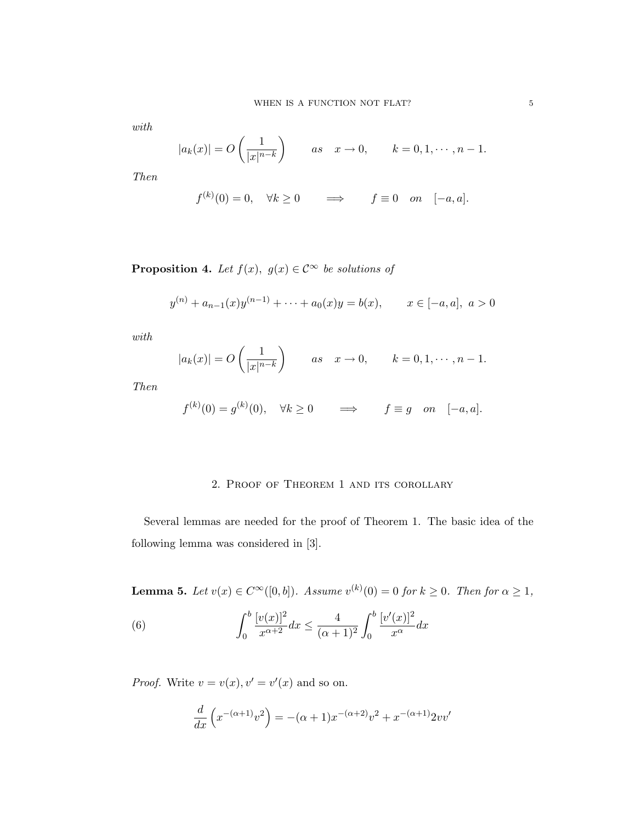with

$$
|a_k(x)| = O\left(\frac{1}{|x|^{n-k}}\right) \qquad as \quad x \to 0, \qquad k = 0, 1, \cdots, n-1.
$$

Then

$$
f^{(k)}(0) = 0, \quad \forall k \ge 0 \qquad \Longrightarrow \qquad f \equiv 0 \quad on \quad [-a, a].
$$

**Proposition 4.** Let  $f(x)$ ,  $g(x) \in C^{\infty}$  be solutions of

$$
y^{(n)} + a_{n-1}(x)y^{(n-1)} + \cdots + a_0(x)y = b(x), \qquad x \in [-a, a], \ a > 0
$$

with

$$
|a_k(x)| = O\left(\frac{1}{|x|^{n-k}}\right) \qquad as \quad x \to 0, \qquad k = 0, 1, \cdots, n-1.
$$

Then

$$
f^{(k)}(0) = g^{(k)}(0), \quad \forall k \ge 0 \qquad \Longrightarrow \qquad f \equiv g \quad on \quad [-a, a].
$$

### 2. Proof of Theorem 1 and its corollary

Several lemmas are needed for the proof of Theorem 1. The basic idea of the following lemma was considered in [3].

**Lemma 5.** Let  $v(x) \in C^{\infty}([0, b])$ . Assume  $v^{(k)}(0) = 0$  for  $k \ge 0$ . Then for  $\alpha \ge 1$ ,

(6) 
$$
\int_0^b \frac{[v(x)]^2}{x^{\alpha+2}} dx \le \frac{4}{(\alpha+1)^2} \int_0^b \frac{[v'(x)]^2}{x^{\alpha}} dx
$$

*Proof.* Write  $v = v(x), v' = v'(x)$  and so on.

$$
\frac{d}{dx}\left(x^{-(\alpha+1)}v^2\right) = -(\alpha+1)x^{-(\alpha+2)}v^2 + x^{-(\alpha+1)}2vv'
$$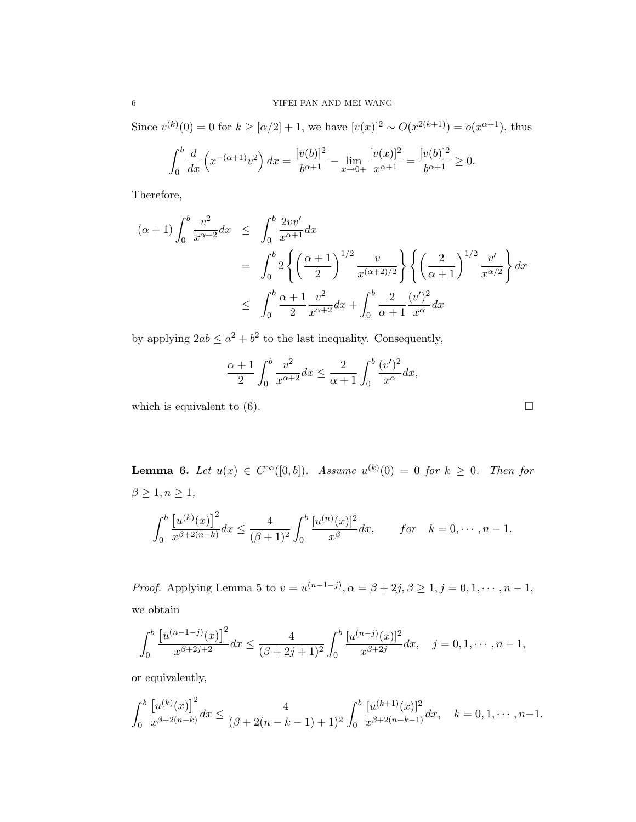Since  $v^{(k)}(0) = 0$  for  $k \geq \lfloor \alpha/2 \rfloor + 1$ , we have  $[v(x)]^2 \sim O(x^{2(k+1)}) = o(x^{\alpha+1})$ , thus

$$
\int_0^b \frac{d}{dx} \left( x^{-(\alpha+1)} v^2 \right) dx = \frac{[v(b)]^2}{b^{\alpha+1}} - \lim_{x \to 0+} \frac{[v(x)]^2}{x^{\alpha+1}} = \frac{[v(b)]^2}{b^{\alpha+1}} \ge 0.
$$

Therefore,

$$
(\alpha + 1) \int_0^b \frac{v^2}{x^{\alpha+2}} dx \le \int_0^b \frac{2vv'}{x^{\alpha+1}} dx
$$
  
= 
$$
\int_0^b 2 \left\{ \left( \frac{\alpha + 1}{2} \right)^{1/2} \frac{v}{x^{(\alpha+2)/2}} \right\} \left\{ \left( \frac{2}{\alpha + 1} \right)^{1/2} \frac{v'}{x^{\alpha/2}} \right\} dx
$$
  

$$
\le \int_0^b \frac{\alpha + 1}{2} \frac{v^2}{x^{\alpha+2}} dx + \int_0^b \frac{2}{\alpha + 1} \frac{(v')^2}{x^{\alpha}} dx
$$

by applying  $2ab \leq a^2 + b^2$  to the last inequality. Consequently,

$$
\frac{\alpha+1}{2}\int_0^b\frac{v^2}{x^{\alpha+2}}dx \leq \frac{2}{\alpha+1}\int_0^b\frac{(v')^2}{x^{\alpha}}dx,
$$

which is equivalent to  $(6)$ .

**Lemma 6.** Let  $u(x) \in C^{\infty}([0, b])$ . Assume  $u^{(k)}(0) = 0$  for  $k \geq 0$ . Then for  $\beta\geq 1, n\geq 1,$  $\overline{c}$ 0 £  $u^{(k)}(x)$ <sup>2</sup>  $\frac{\left[u^{(k)}(x)\right]^2}{x^{\beta+2(n-k)}}dx \leq \frac{4}{(\beta+k)}$  $(\beta + 1)^2$  $\overline{c}$ 0  $[u^{(n)}(x)]^2$  $\frac{d^{(x)}_1}{dx^{\beta}}dx$ , for  $k = 0, \dots, n-1$ .

*Proof.* Applying Lemma 5 to  $v = u^{(n-1-j)}$ ,  $\alpha = \beta + 2j$ ,  $\beta \ge 1$ ,  $j = 0, 1, \dots, n-1$ , we obtain

$$
\int_0^b \frac{\left[u^{(n-1-j)}(x)\right]^2}{x^{\beta+2j+2}} dx \le \frac{4}{(\beta+2j+1)^2} \int_0^b \frac{\left[u^{(n-j)}(x)\right]^2}{x^{\beta+2j}} dx, \quad j=0,1,\cdots,n-1,
$$

or equivalently,

$$
\int_0^b \frac{\left[u^{(k)}(x)\right]^2}{x^{\beta+2(n-k)}} dx \le \frac{4}{(\beta+2(n-k-1)+1)^2} \int_0^b \frac{\left[u^{(k+1)}(x)\right]^2}{x^{\beta+2(n-k-1)}} dx, \quad k=0,1,\cdots,n-1.
$$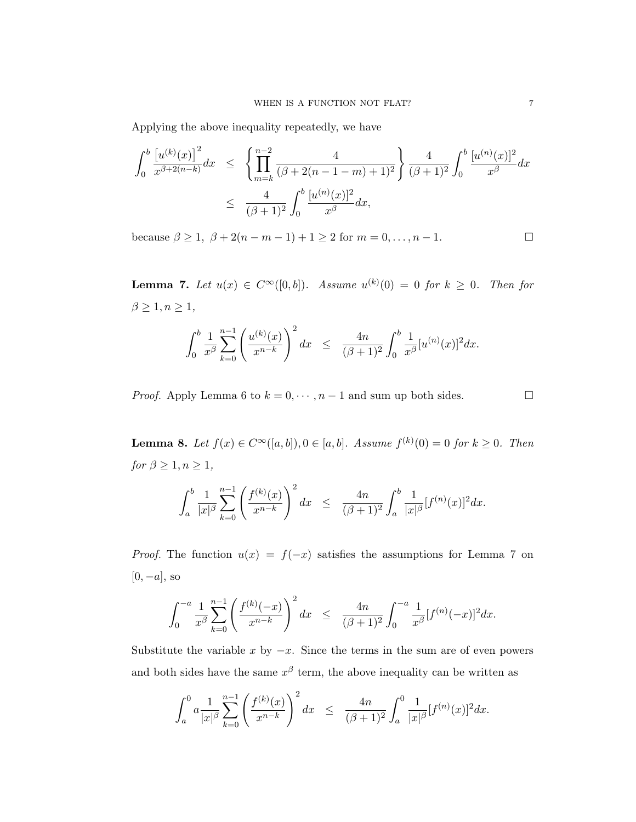Applying the above inequality repeatedly, we have

$$
\int_0^b \frac{\left[u^{(k)}(x)\right]^2}{x^{\beta+2(n-k)}} dx \le \left\{ \prod_{m=k}^{n-2} \frac{4}{(\beta+2(n-1-m)+1)^2} \right\} \frac{4}{(\beta+1)^2} \int_0^b \frac{\left[u^{(n)}(x)\right]^2}{x^{\beta}} dx
$$
  

$$
\le \frac{4}{(\beta+1)^2} \int_0^b \frac{\left[u^{(n)}(x)\right]^2}{x^{\beta}} dx,
$$

because  $\beta \ge 1$ ,  $\beta + 2(n - m - 1) + 1 \ge 2$  for  $m = 0, ..., n - 1$ .

**Lemma 7.** Let  $u(x) \in C^{\infty}([0, b])$ . Assume  $u^{(k)}(0) = 0$  for  $k \geq 0$ . Then for  $\beta\geq 1, n\geq 1,$ 

$$
\int_0^b \frac{1}{x^\beta} \sum_{k=0}^{n-1} \left(\frac{u^{(k)}(x)}{x^{n-k}}\right)^2 dx \leq \frac{4n}{(\beta+1)^2} \int_0^b \frac{1}{x^\beta} [u^{(n)}(x)]^2 dx.
$$

*Proof.* Apply Lemma 6 to  $k = 0, \dots, n-1$  and sum up both sides.  $\Box$ 

**Lemma 8.** Let  $f(x) \in C^{\infty}([a, b]), 0 \in [a, b]$ . Assume  $f^{(k)}(0) = 0$  for  $k \ge 0$ . Then for  $\beta \geq 1, n \geq 1$ ,

$$
\int_a^b \frac{1}{|x|^\beta} \sum_{k=0}^{n-1} \left( \frac{f^{(k)}(x)}{x^{n-k}} \right)^2 dx \leq \frac{4n}{(\beta+1)^2} \int_a^b \frac{1}{|x|^\beta} [f^{(n)}(x)]^2 dx.
$$

*Proof.* The function  $u(x) = f(-x)$  satisfies the assumptions for Lemma 7 on  $[0, -a]$ , so

$$
\int_0^{-a} \frac{1}{x^{\beta}} \sum_{k=0}^{n-1} \left( \frac{f^{(k)}(-x)}{x^{n-k}} \right)^2 dx \leq \frac{4n}{(\beta+1)^2} \int_0^{-a} \frac{1}{x^{\beta}} [f^{(n)}(-x)]^2 dx.
$$

Substitute the variable x by  $-x$ . Since the terms in the sum are of even powers and both sides have the same  $x^{\beta}$  term, the above inequality can be written as

$$
\int_a^0 a \frac{1}{|x|^\beta} \sum_{k=0}^{n-1} \left( \frac{f^{(k)}(x)}{x^{n-k}} \right)^2 dx \leq \frac{4n}{(\beta+1)^2} \int_a^0 \frac{1}{|x|^\beta} [f^{(n)}(x)]^2 dx.
$$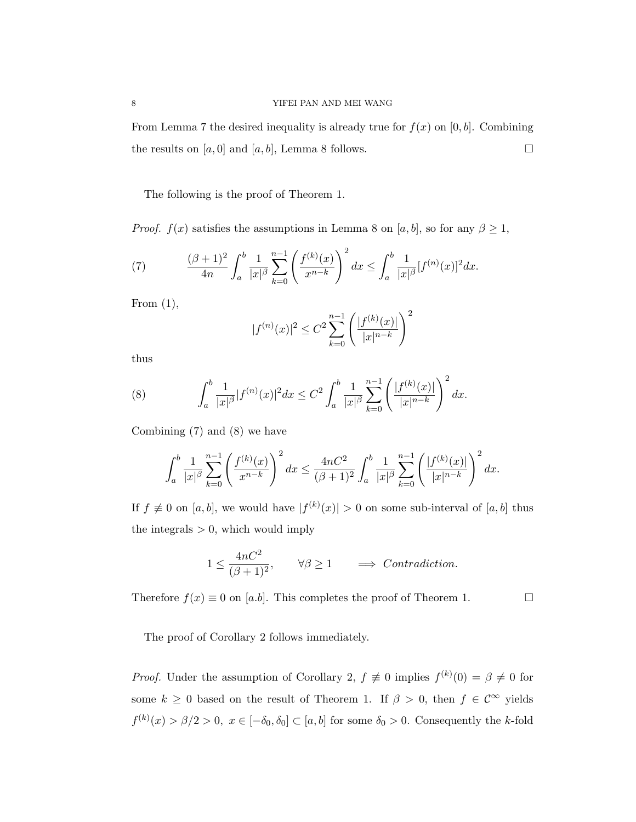From Lemma 7 the desired inequality is already true for  $f(x)$  on [0, b]. Combining the results on  $[a, 0]$  and  $[a, b]$ , Lemma 8 follows.

The following is the proof of Theorem 1.

*Proof.*  $f(x)$  satisfies the assumptions in Lemma 8 on [a, b], so for any  $\beta \geq 1$ ,

(7) 
$$
\frac{(\beta+1)^2}{4n} \int_a^b \frac{1}{|x|^\beta} \sum_{k=0}^{n-1} \left( \frac{f^{(k)}(x)}{x^{n-k}} \right)^2 dx \le \int_a^b \frac{1}{|x|^\beta} [f^{(n)}(x)]^2 dx.
$$

From  $(1)$ ,

$$
|f^{(n)}(x)|^2 \le C^2 \sum_{k=0}^{n-1} \left( \frac{|f^{(k)}(x)|}{|x|^{n-k}} \right)^2
$$

thus

(8) 
$$
\int_{a}^{b} \frac{1}{|x|^{\beta}} |f^{(n)}(x)|^{2} dx \leq C^{2} \int_{a}^{b} \frac{1}{|x|^{\beta}} \sum_{k=0}^{n-1} \left( \frac{|f^{(k)}(x)|}{|x|^{n-k}} \right)^{2} dx.
$$

Combining (7) and (8) we have

$$
\int_a^b \frac{1}{|x|^\beta} \sum_{k=0}^{n-1} \left(\frac{f^{(k)}(x)}{x^{n-k}}\right)^2 dx \le \frac{4nC^2}{(\beta+1)^2} \int_a^b \frac{1}{|x|^\beta} \sum_{k=0}^{n-1} \left(\frac{|f^{(k)}(x)|}{|x|^{n-k}}\right)^2 dx.
$$

If  $f \neq 0$  on  $[a, b]$ , we would have  $|f^{(k)}(x)| > 0$  on some sub-interval of  $[a, b]$  thus the integrals  $> 0$ , which would imply

$$
1 \le \frac{4nC^2}{(\beta+1)^2}
$$
,  $\forall \beta \ge 1$   $\implies$  *Contraction.*

Therefore  $f(x) \equiv 0$  on [a.b]. This completes the proof of Theorem 1.  $\Box$ 

The proof of Corollary 2 follows immediately.

*Proof.* Under the assumption of Corollary 2,  $f \neq 0$  implies  $f^{(k)}(0) = \beta \neq 0$  for some  $k \geq 0$  based on the result of Theorem 1. If  $\beta > 0$ , then  $f \in \mathcal{C}^{\infty}$  yields  $f^{(k)}(x) > \beta/2 > 0, x \in [-\delta_0, \delta_0] \subset [a, b]$  for some  $\delta_0 > 0$ . Consequently the k-fold